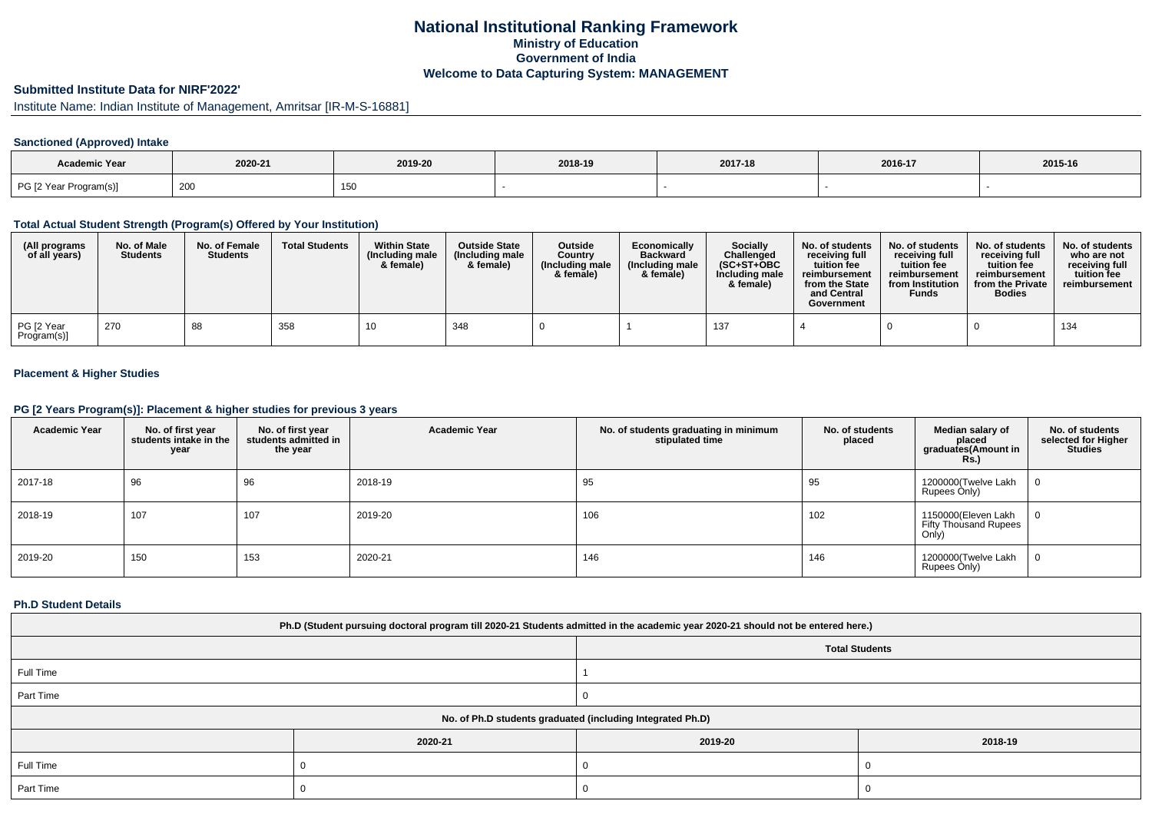## **National Institutional Ranking FrameworkMinistry of Education Government of IndiaWelcome to Data Capturing System: MANAGEMENT**

# **Submitted Institute Data for NIRF'2022'**

Institute Name: Indian Institute of Management, Amritsar [IR-M-S-16881]

## **Sanctioned (Approved) Intake**

| Academic Year          | 2020-21<br>2019-20 |     | 2018-19 | 2017-18 | 2016-17 | 2015-16 |
|------------------------|--------------------|-----|---------|---------|---------|---------|
| PG [2 Year Program(s)] | 200                | 150 |         |         |         |         |

#### **Total Actual Student Strength (Program(s) Offered by Your Institution)**

| (All programs<br>of all years) | No. of Male<br><b>Students</b> | No. of Female<br><b>Students</b> | <b>Total Students</b> | <b>Within State</b><br>(Including male<br>& female) | <b>Outside State</b><br>(Including male)<br>& female) | <b>Outside</b><br>Country<br>(Including male<br>& female) | Economically<br><b>Backward</b><br>(Including male<br>& female) | <b>Socially</b><br>Challenged<br>$(SC+ST+OBC)$<br>Including male<br>& female) | No. of students<br>receivina full<br>tuition fee<br>reimbursement<br>from the State<br>and Central<br>Government | No. of students<br>receiving full<br>tuition fee<br>reimbursement<br>from Institution<br><b>Funds</b> | No. of students<br>receiving full<br>tuition fee<br>reimbursement<br>from the Private<br><b>Bodies</b> | No. of students<br>who are not<br>receiving full<br>tuition fee<br>reimbursement |
|--------------------------------|--------------------------------|----------------------------------|-----------------------|-----------------------------------------------------|-------------------------------------------------------|-----------------------------------------------------------|-----------------------------------------------------------------|-------------------------------------------------------------------------------|------------------------------------------------------------------------------------------------------------------|-------------------------------------------------------------------------------------------------------|--------------------------------------------------------------------------------------------------------|----------------------------------------------------------------------------------|
| PG [2 Year<br>Program(s)]      | 270                            | 88                               | 358                   | 10                                                  | 348                                                   |                                                           |                                                                 |                                                                               |                                                                                                                  |                                                                                                       |                                                                                                        | 134                                                                              |

## **Placement & Higher Studies**

#### **PG [2 Years Program(s)]: Placement & higher studies for previous 3 years**

| <b>Academic Year</b> | No. of first year<br>students intake in the<br>year | No. of first year<br>students admitted in<br>the year | <b>Academic Year</b> | No. of students graduating in minimum<br>stipulated time | No. of students<br>placed | Median salary of<br>placed<br>graduates(Amount in<br><b>Rs.)</b> | No. of students<br>selected for Higher<br><b>Studies</b> |
|----------------------|-----------------------------------------------------|-------------------------------------------------------|----------------------|----------------------------------------------------------|---------------------------|------------------------------------------------------------------|----------------------------------------------------------|
| 2017-18              | 96                                                  | 96                                                    | 2018-19              | 95                                                       | 95                        | 1200000(Twelve Lakh<br>Rupees Only)                              | υ                                                        |
| 2018-19              | 107                                                 | 107                                                   | 2019-20              | 106                                                      | 102                       | 1150000(Eleven Lakh<br><b>Fifty Thousand Rupees</b><br>Only)     | 0                                                        |
| 2019-20              | 150                                                 | 153                                                   | 2020-21              | 146                                                      | 146                       | 1200000(Twelve Lakh<br>Rupees Only)                              | 0                                                        |

### **Ph.D Student Details**

| Ph.D (Student pursuing doctoral program till 2020-21 Students admitted in the academic year 2020-21 should not be entered here.) |         |                       |         |  |  |  |
|----------------------------------------------------------------------------------------------------------------------------------|---------|-----------------------|---------|--|--|--|
|                                                                                                                                  |         | <b>Total Students</b> |         |  |  |  |
| Full Time                                                                                                                        |         |                       |         |  |  |  |
| Part Time                                                                                                                        |         |                       |         |  |  |  |
| No. of Ph.D students graduated (including Integrated Ph.D)                                                                       |         |                       |         |  |  |  |
|                                                                                                                                  | 2020-21 | 2019-20               | 2018-19 |  |  |  |
| Full Time                                                                                                                        |         |                       |         |  |  |  |
| Part Time                                                                                                                        |         |                       |         |  |  |  |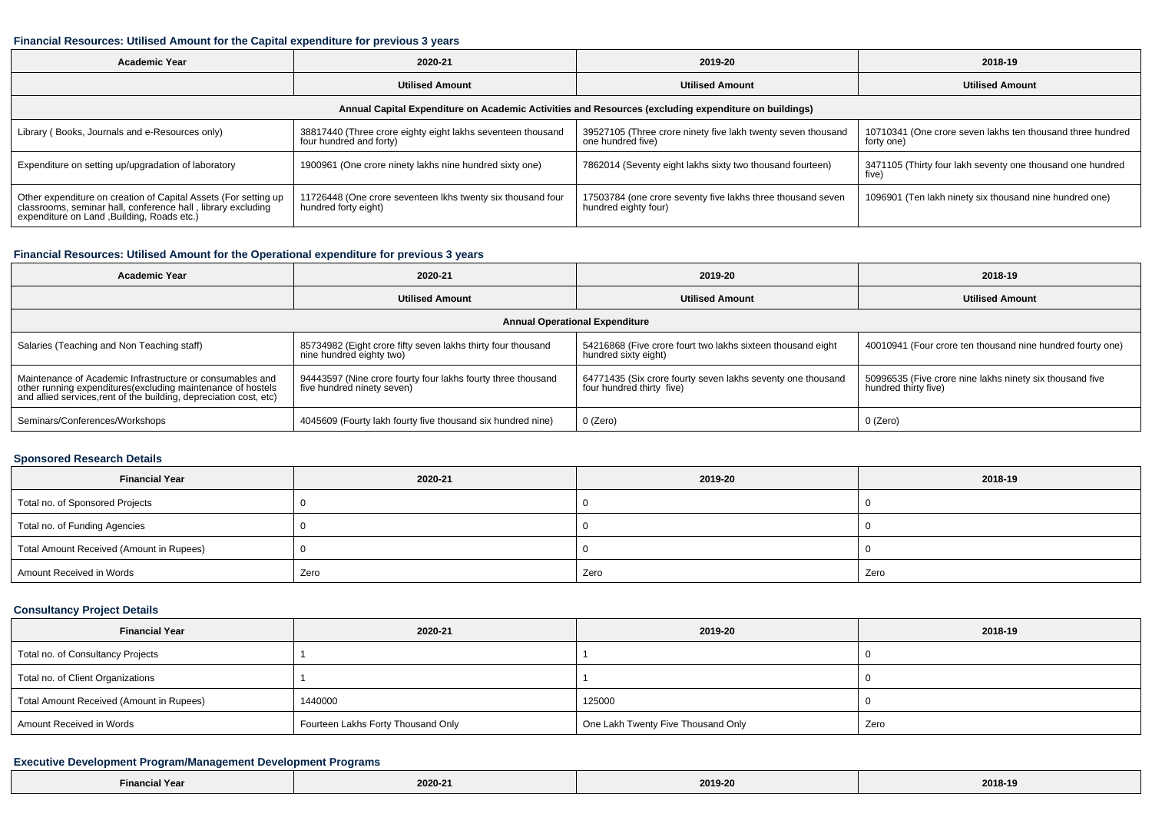#### **Financial Resources: Utilised Amount for the Capital expenditure for previous 3 years**

| <b>Academic Year</b>                                                                                                                                                           | 2020-21                                                                                | 2019-20                                                                             | 2018-19                                                                  |  |  |  |  |  |
|--------------------------------------------------------------------------------------------------------------------------------------------------------------------------------|----------------------------------------------------------------------------------------|-------------------------------------------------------------------------------------|--------------------------------------------------------------------------|--|--|--|--|--|
|                                                                                                                                                                                | <b>Utilised Amount</b>                                                                 | <b>Utilised Amount</b>                                                              | <b>Utilised Amount</b>                                                   |  |  |  |  |  |
| Annual Capital Expenditure on Academic Activities and Resources (excluding expenditure on buildings)                                                                           |                                                                                        |                                                                                     |                                                                          |  |  |  |  |  |
| Library (Books, Journals and e-Resources only)                                                                                                                                 | 38817440 (Three crore eighty eight lakhs seventeen thousand<br>four hundred and forty) | 39527105 (Three crore ninety five lakh twenty seven thousand<br>one hundred five)   | 10710341 (One crore seven lakhs ten thousand three hundred<br>forty one) |  |  |  |  |  |
| Expenditure on setting up/upgradation of laboratory                                                                                                                            | 1900961 (One crore ninety lakhs nine hundred sixty one)                                | 7862014 (Seventy eight lakhs sixty two thousand fourteen)                           | 3471105 (Thirty four lakh seventy one thousand one hundred<br>five)      |  |  |  |  |  |
| Other expenditure on creation of Capital Assets (For setting up<br>classrooms, seminar hall, conference hall, library excluding<br>expenditure on Land , Building, Roads etc.) | 11726448 (One crore seventeen Ikhs twenty six thousand four<br>hundred forty eight)    | 17503784 (one crore seventy five lakhs three thousand seven<br>hundred eighty four) | 1096901 (Ten lakh ninety six thousand nine hundred one)                  |  |  |  |  |  |

## **Financial Resources: Utilised Amount for the Operational expenditure for previous 3 years**

| <b>Academic Year</b>                                                                                                                                                                            | 2020-21                                                                                    | 2019-20                                                                                  | 2018-19                                                                          |  |  |  |  |  |
|-------------------------------------------------------------------------------------------------------------------------------------------------------------------------------------------------|--------------------------------------------------------------------------------------------|------------------------------------------------------------------------------------------|----------------------------------------------------------------------------------|--|--|--|--|--|
|                                                                                                                                                                                                 | <b>Utilised Amount</b>                                                                     | <b>Utilised Amount</b>                                                                   | <b>Utilised Amount</b>                                                           |  |  |  |  |  |
| <b>Annual Operational Expenditure</b>                                                                                                                                                           |                                                                                            |                                                                                          |                                                                                  |  |  |  |  |  |
| Salaries (Teaching and Non Teaching staff)                                                                                                                                                      | 85734982 (Eight crore fifty seven lakhs thirty four thousand<br>nine hundred eighty two)   | 54216868 (Five crore fourt two lakhs sixteen thousand eight<br>hundred sixty eight)      | 40010941 (Four crore ten thousand nine hundred fourty one)                       |  |  |  |  |  |
| Maintenance of Academic Infrastructure or consumables and<br>other running expenditures (excluding maintenance of hostels<br>and allied services, rent of the building, depreciation cost, etc) | 94443597 (Nine crore fourty four lakhs fourty three thousand<br>five hundred ninety seven) | 64771435 (Six crore fourty seven lakhs seventy one thousand<br>four hundred thirty five) | 50996535 (Five crore nine lakhs ninety six thousand five<br>hundred thirty five) |  |  |  |  |  |
| Seminars/Conferences/Workshops                                                                                                                                                                  | 4045609 (Fourty lakh fourty five thousand six hundred nine)                                | 0 (Zero)                                                                                 | 0 (Zero)                                                                         |  |  |  |  |  |

#### **Sponsored Research Details**

| <b>Financial Year</b>                    | 2020-21 | 2019-20 | 2018-19 |  |
|------------------------------------------|---------|---------|---------|--|
| Total no. of Sponsored Projects          |         |         |         |  |
| Total no. of Funding Agencies            |         |         |         |  |
| Total Amount Received (Amount in Rupees) |         |         |         |  |
| Amount Received in Words                 | Zero    | Zero    | Zero    |  |

## **Consultancy Project Details**

| <b>Financial Year</b>                    | 2020-21                            | 2019-20                            | 2018-19 |
|------------------------------------------|------------------------------------|------------------------------------|---------|
| Total no. of Consultancy Projects        |                                    |                                    |         |
| Total no. of Client Organizations        |                                    |                                    |         |
| Total Amount Received (Amount in Rupees) | 1440000                            | 125000                             |         |
| Amount Received in Words                 | Fourteen Lakhs Forty Thousand Only | One Lakh Twenty Five Thousand Only | Zero    |

### **Executive Development Program/Management Development Programs**

| Financial Year | $\sim$ $\sim$ $\sim$<br>2020-2<br>the contract of the contract of | 2019-20<br>$\sim$ $\sim$ $\sim$ $\sim$ | 2018-19 |
|----------------|-------------------------------------------------------------------|----------------------------------------|---------|
|----------------|-------------------------------------------------------------------|----------------------------------------|---------|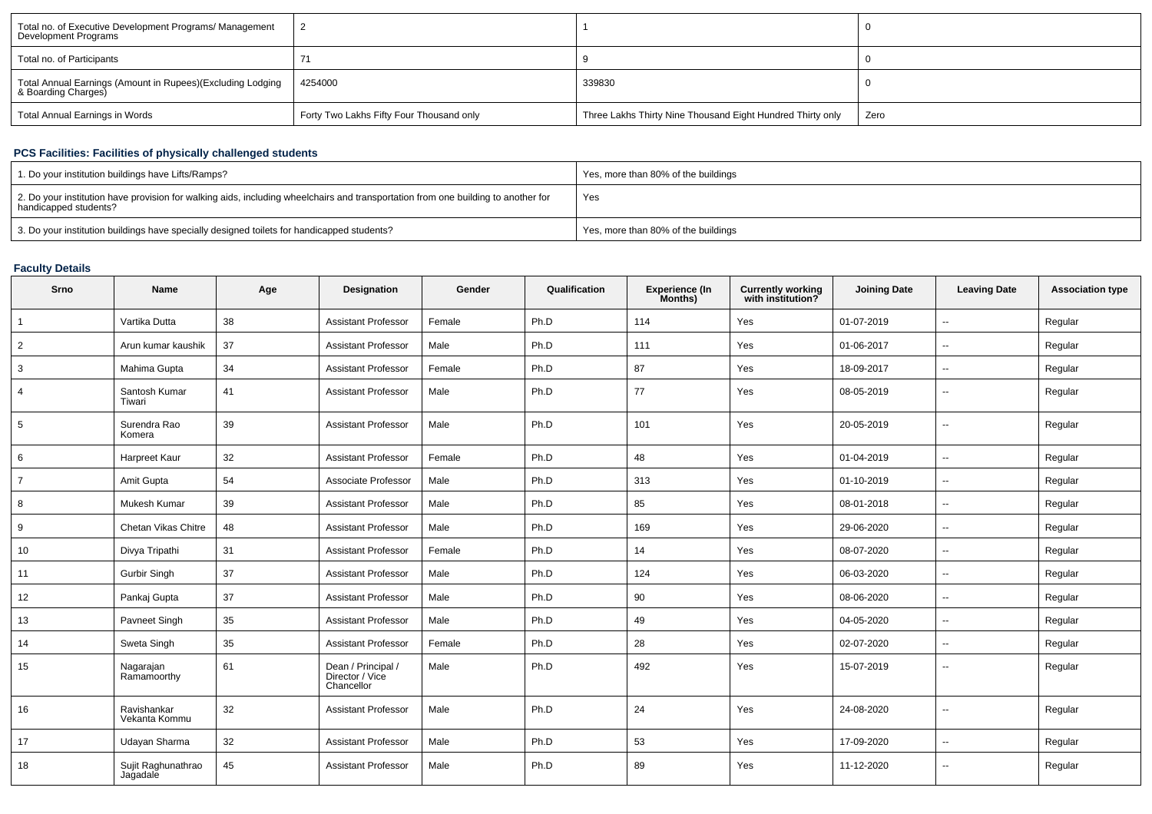| Total no. of Executive Development Programs/ Management<br>Development Programs   |                                          |                                                            |      |
|-----------------------------------------------------------------------------------|------------------------------------------|------------------------------------------------------------|------|
| Total no. of Participants                                                         |                                          |                                                            |      |
| Total Annual Earnings (Amount in Rupees)(Excluding Lodging<br>& Boarding Charges) | 4254000                                  | 339830                                                     |      |
| Total Annual Earnings in Words                                                    | Forty Two Lakhs Fifty Four Thousand only | Three Lakhs Thirty Nine Thousand Eight Hundred Thirty only | Zero |

## **PCS Facilities: Facilities of physically challenged students**

| 1. Do your institution buildings have Lifts/Ramps?                                                                                                         | Yes, more than 80% of the buildings |
|------------------------------------------------------------------------------------------------------------------------------------------------------------|-------------------------------------|
| 2. Do your institution have provision for walking aids, including wheelchairs and transportation from one building to another for<br>handicapped students? | Yes                                 |
| 3. Do your institution buildings have specially designed toilets for handicapped students?                                                                 | Yes, more than 80% of the buildings |

## **Faculty Details**

| Srno           | <b>Name</b>                    | Age | Designation                                         | Gender | Qualification | <b>Experience (In</b><br>Months) | <b>Currently working</b><br>with institution? | <b>Joining Date</b> | <b>Leaving Date</b>      | <b>Association type</b> |
|----------------|--------------------------------|-----|-----------------------------------------------------|--------|---------------|----------------------------------|-----------------------------------------------|---------------------|--------------------------|-------------------------|
|                | Vartika Dutta                  | 38  | <b>Assistant Professor</b>                          | Female | Ph.D          | 114                              | Yes                                           | 01-07-2019          | $\overline{\phantom{a}}$ | Regular                 |
| $\overline{2}$ | Arun kumar kaushik             | 37  | <b>Assistant Professor</b>                          | Male   | Ph.D          | 111                              | Yes                                           | 01-06-2017          | $\overline{\phantom{a}}$ | Regular                 |
| 3              | Mahima Gupta                   | 34  | <b>Assistant Professor</b>                          | Female | Ph.D          | 87                               | Yes                                           | 18-09-2017          | $\sim$                   | Regular                 |
| $\overline{4}$ | Santosh Kumar<br>Tiwari        | 41  | <b>Assistant Professor</b>                          | Male   | Ph.D          | 77                               | Yes                                           | 08-05-2019          | $\sim$                   | Regular                 |
| 5              | Surendra Rao<br>Komera         | 39  | <b>Assistant Professor</b>                          | Male   | Ph.D          | 101                              | Yes                                           | 20-05-2019          | $\overline{\phantom{a}}$ | Regular                 |
| 6              | Harpreet Kaur                  | 32  | <b>Assistant Professor</b>                          | Female | Ph.D          | 48                               | Yes                                           | 01-04-2019          | $\sim$                   | Regular                 |
| $\overline{7}$ | Amit Gupta                     | 54  | Associate Professor                                 | Male   | Ph.D          | 313                              | Yes                                           | 01-10-2019          | $\overline{\phantom{a}}$ | Regular                 |
| 8              | Mukesh Kumar                   | 39  | <b>Assistant Professor</b>                          | Male   | Ph.D          | 85                               | Yes                                           | 08-01-2018          | $\sim$                   | Regular                 |
| 9              | Chetan Vikas Chitre            | 48  | <b>Assistant Professor</b>                          | Male   | Ph.D          | 169                              | Yes                                           | 29-06-2020          | $\overline{\phantom{a}}$ | Regular                 |
| 10             | Divya Tripathi                 | 31  | <b>Assistant Professor</b>                          | Female | Ph.D          | 14                               | Yes                                           | 08-07-2020          | $\overline{\phantom{a}}$ | Regular                 |
| 11             | Gurbir Singh                   | 37  | <b>Assistant Professor</b>                          | Male   | Ph.D          | 124                              | Yes                                           | 06-03-2020          | $\overline{\phantom{a}}$ | Regular                 |
| 12             | Pankaj Gupta                   | 37  | <b>Assistant Professor</b>                          | Male   | Ph.D          | 90                               | Yes                                           | 08-06-2020          | $\sim$                   | Regular                 |
| 13             | Pavneet Singh                  | 35  | <b>Assistant Professor</b>                          | Male   | Ph.D          | 49                               | Yes                                           | 04-05-2020          | $\mathbf{u}$             | Regular                 |
| 14             | Sweta Singh                    | 35  | <b>Assistant Professor</b>                          | Female | Ph.D          | 28                               | Yes                                           | 02-07-2020          | $\sim$                   | Regular                 |
| 15             | Nagarajan<br>Ramamoorthy       | 61  | Dean / Principal /<br>Director / Vice<br>Chancellor | Male   | Ph.D          | 492                              | Yes                                           | 15-07-2019          | $\overline{\phantom{a}}$ | Regular                 |
| 16             | Ravishankar<br>Vekanta Kommu   | 32  | <b>Assistant Professor</b>                          | Male   | Ph.D          | 24                               | Yes                                           | 24-08-2020          | $\sim$                   | Regular                 |
| 17             | Udayan Sharma                  | 32  | <b>Assistant Professor</b>                          | Male   | Ph.D          | 53                               | Yes                                           | 17-09-2020          | $\overline{\phantom{a}}$ | Regular                 |
| 18             | Sujit Raghunathrao<br>Jagadale | 45  | <b>Assistant Professor</b>                          | Male   | Ph.D          | 89                               | Yes                                           | 11-12-2020          | $\overline{a}$           | Regular                 |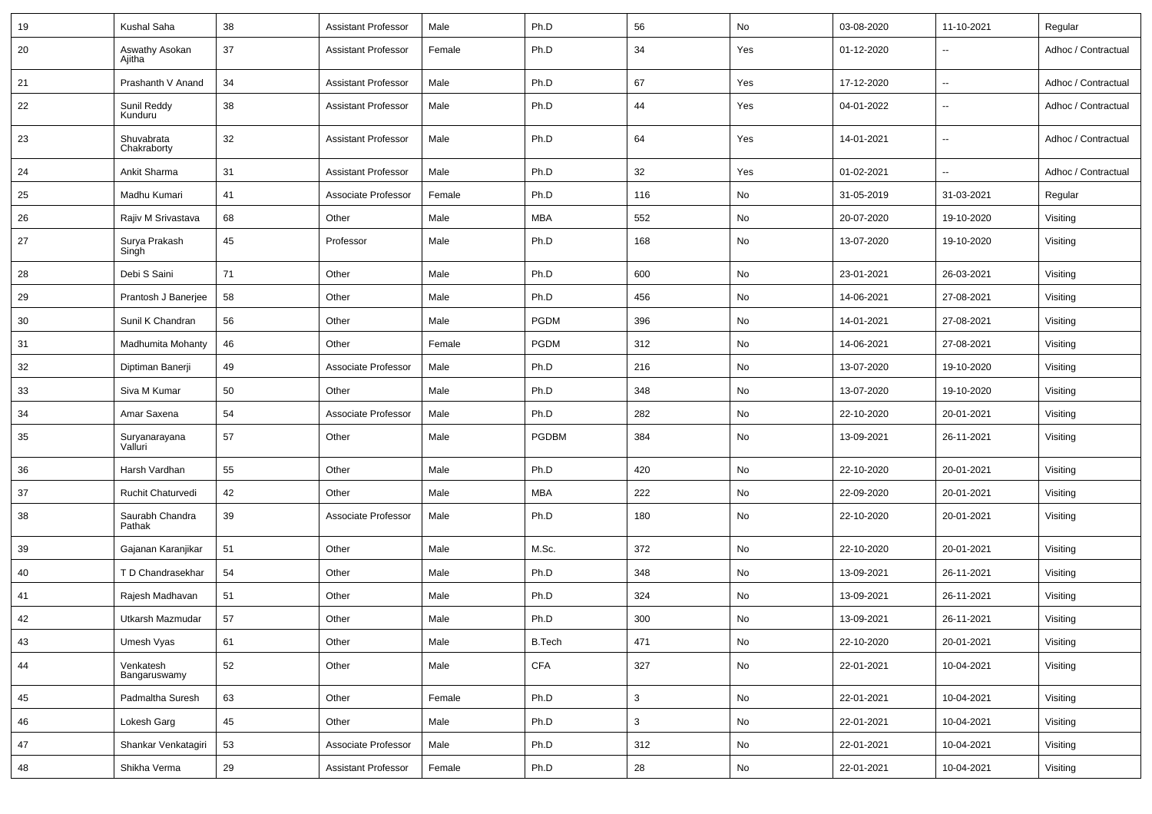| 19 | Kushal Saha               | 38 | Assistant Professor        | Male   | Ph.D          | 56           | No            | 03-08-2020 | 11-10-2021               | Regular             |
|----|---------------------------|----|----------------------------|--------|---------------|--------------|---------------|------------|--------------------------|---------------------|
| 20 | Aswathy Asokan<br>Ajitha  | 37 | Assistant Professor        | Female | Ph.D          | 34           | Yes           | 01-12-2020 | --                       | Adhoc / Contractual |
| 21 | Prashanth V Anand         | 34 | <b>Assistant Professor</b> | Male   | Ph.D          | 67           | Yes           | 17-12-2020 | $\overline{\phantom{a}}$ | Adhoc / Contractual |
| 22 | Sunil Reddy<br>Kunduru    | 38 | <b>Assistant Professor</b> | Male   | Ph.D          | 44           | Yes           | 04-01-2022 | $\sim$                   | Adhoc / Contractual |
| 23 | Shuvabrata<br>Chakraborty | 32 | <b>Assistant Professor</b> | Male   | Ph.D          | 64           | Yes           | 14-01-2021 | $\sim$                   | Adhoc / Contractual |
| 24 | Ankit Sharma              | 31 | <b>Assistant Professor</b> | Male   | Ph.D          | 32           | Yes           | 01-02-2021 | $\sim$                   | Adhoc / Contractual |
| 25 | Madhu Kumari              | 41 | Associate Professor        | Female | Ph.D          | 116          | No            | 31-05-2019 | 31-03-2021               | Regular             |
| 26 | Rajiv M Srivastava        | 68 | Other                      | Male   | <b>MBA</b>    | 552          | No            | 20-07-2020 | 19-10-2020               | Visiting            |
| 27 | Surya Prakash<br>Singh    | 45 | Professor                  | Male   | Ph.D          | 168          | No            | 13-07-2020 | 19-10-2020               | Visiting            |
| 28 | Debi S Saini              | 71 | Other                      | Male   | Ph.D          | 600          | No            | 23-01-2021 | 26-03-2021               | Visiting            |
| 29 | Prantosh J Banerjee       | 58 | Other                      | Male   | Ph.D          | 456          | No            | 14-06-2021 | 27-08-2021               | Visiting            |
| 30 | Sunil K Chandran          | 56 | Other                      | Male   | <b>PGDM</b>   | 396          | No            | 14-01-2021 | 27-08-2021               | Visiting            |
| 31 | Madhumita Mohanty         | 46 | Other                      | Female | PGDM          | 312          | No            | 14-06-2021 | 27-08-2021               | Visiting            |
| 32 | Diptiman Banerji          | 49 | Associate Professor        | Male   | Ph.D          | 216          | No            | 13-07-2020 | 19-10-2020               | Visiting            |
| 33 | Siva M Kumar              | 50 | Other                      | Male   | Ph.D          | 348          | No            | 13-07-2020 | 19-10-2020               | Visiting            |
| 34 | Amar Saxena               | 54 | Associate Professor        | Male   | Ph.D          | 282          | No            | 22-10-2020 | 20-01-2021               | Visiting            |
| 35 | Suryanarayana<br>Valluri  | 57 | Other                      | Male   | <b>PGDBM</b>  | 384          | No            | 13-09-2021 | 26-11-2021               | Visiting            |
| 36 | Harsh Vardhan             | 55 | Other                      | Male   | Ph.D          | 420          | No            | 22-10-2020 | 20-01-2021               | Visiting            |
| 37 | Ruchit Chaturvedi         | 42 | Other                      | Male   | MBA           | 222          | No            | 22-09-2020 | 20-01-2021               | Visiting            |
| 38 | Saurabh Chandra<br>Pathak | 39 | Associate Professor        | Male   | Ph.D          | 180          | No            | 22-10-2020 | 20-01-2021               | Visiting            |
| 39 | Gajanan Karanjikar        | 51 | Other                      | Male   | M.Sc.         | 372          | No            | 22-10-2020 | 20-01-2021               | Visiting            |
| 40 | T D Chandrasekhar         | 54 | Other                      | Male   | Ph.D          | 348          | No            | 13-09-2021 | 26-11-2021               | Visiting            |
| 41 | Rajesh Madhavan           | 51 | Other                      | Male   | Ph.D          | 324          | No            | 13-09-2021 | 26-11-2021               | Visiting            |
| 42 | Utkarsh Mazmudar          | 57 | Other                      | Male   | Ph.D          | 300          | No            | 13-09-2021 | 26-11-2021               | Visiting            |
| 43 | Umesh Vyas                | 61 | Other                      | Male   | <b>B.Tech</b> | 471          | No            | 22-10-2020 | 20-01-2021               | Visiting            |
| 44 | Venkatesh<br>Bangaruswamy | 52 | Other                      | Male   | CFA           | 327          | $\mathsf{No}$ | 22-01-2021 | 10-04-2021               | Visiting            |
| 45 | Padmaltha Suresh          | 63 | Other                      | Female | Ph.D          | $\mathbf{3}$ | No            | 22-01-2021 | 10-04-2021               | Visiting            |
| 46 | Lokesh Garg               | 45 | Other                      | Male   | Ph.D          | $\mathbf{3}$ | No            | 22-01-2021 | 10-04-2021               | Visiting            |
| 47 | Shankar Venkatagiri       | 53 | Associate Professor        | Male   | Ph.D          | 312          | No            | 22-01-2021 | 10-04-2021               | Visiting            |
| 48 | Shikha Verma              | 29 | <b>Assistant Professor</b> | Female | Ph.D          | 28           | No            | 22-01-2021 | 10-04-2021               | Visiting            |